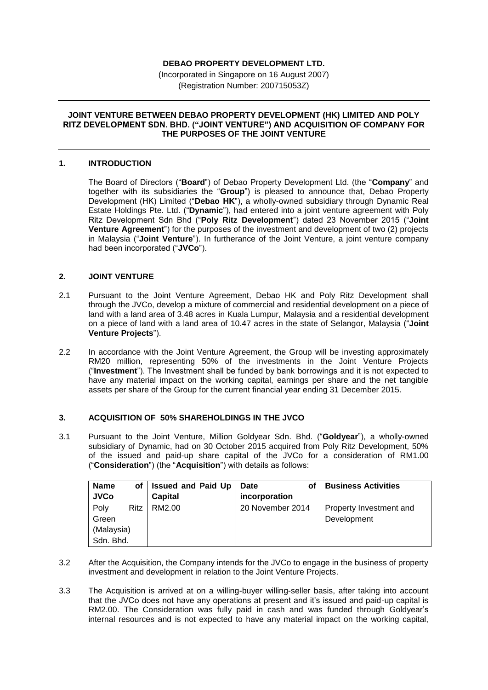# **DEBAO PROPERTY DEVELOPMENT LTD.**

(Incorporated in Singapore on 16 August 2007) (Registration Number: 200715053Z)

#### **JOINT VENTURE BETWEEN DEBAO PROPERTY DEVELOPMENT (HK) LIMITED AND POLY RITZ DEVELOPMENT SDN. BHD. ("JOINT VENTURE") AND ACQUISITION OF COMPANY FOR THE PURPOSES OF THE JOINT VENTURE**

### **1. INTRODUCTION**

The Board of Directors ("**Board**") of Debao Property Development Ltd. (the "**Company**" and together with its subsidiaries the "**Group**") is pleased to announce that, Debao Property Development (HK) Limited ("**Debao HK**"), a wholly-owned subsidiary through Dynamic Real Estate Holdings Pte. Ltd. ("**Dynamic**"), had entered into a joint venture agreement with Poly Ritz Development Sdn Bhd ("**Poly Ritz Development**") dated 23 November 2015 ("**Joint Venture Agreement**") for the purposes of the investment and development of two (2) projects in Malaysia ("**Joint Venture**"). In furtherance of the Joint Venture, a joint venture company had been incorporated ("**JVCo**").

### **2. JOINT VENTURE**

- 2.1 Pursuant to the Joint Venture Agreement, Debao HK and Poly Ritz Development shall through the JVCo, develop a mixture of commercial and residential development on a piece of land with a land area of 3.48 acres in Kuala Lumpur, Malaysia and a residential development on a piece of land with a land area of 10.47 acres in the state of Selangor, Malaysia ("**Joint Venture Projects**").
- 2.2 In accordance with the Joint Venture Agreement, the Group will be investing approximately RM20 million, representing 50% of the investments in the Joint Venture Projects ("**Investment**"). The Investment shall be funded by bank borrowings and it is not expected to have any material impact on the working capital, earnings per share and the net tangible assets per share of the Group for the current financial year ending 31 December 2015.

## **3. ACQUISITION OF 50% SHAREHOLDINGS IN THE JVCO**

3.1 Pursuant to the Joint Venture, Million Goldyear Sdn. Bhd. ("**Goldyear**"), a wholly-owned subsidiary of Dynamic, had on 30 October 2015 acquired from Poly Ritz Development, 50% of the issued and paid-up share capital of the JVCo for a consideration of RM1.00 ("**Consideration**") (the "**Acquisition**") with details as follows:

| <b>Name</b>   | οf          | <b>Issued and Paid Up</b> | Date<br>o۱       | <b>Business Activities</b>             |
|---------------|-------------|---------------------------|------------------|----------------------------------------|
| <b>JVCo</b>   |             | Capital                   | incorporation    |                                        |
| Poly<br>Green | <b>Ritz</b> | RM2.00                    | 20 November 2014 | Property Investment and<br>Development |
| (Malaysia)    |             |                           |                  |                                        |
| Sdn. Bhd.     |             |                           |                  |                                        |

- 3.2 After the Acquisition, the Company intends for the JVCo to engage in the business of property investment and development in relation to the Joint Venture Projects.
- 3.3 The Acquisition is arrived at on a willing-buyer willing-seller basis, after taking into account that the JVCo does not have any operations at present and it's issued and paid-up capital is RM2.00. The Consideration was fully paid in cash and was funded through Goldyear's internal resources and is not expected to have any material impact on the working capital,